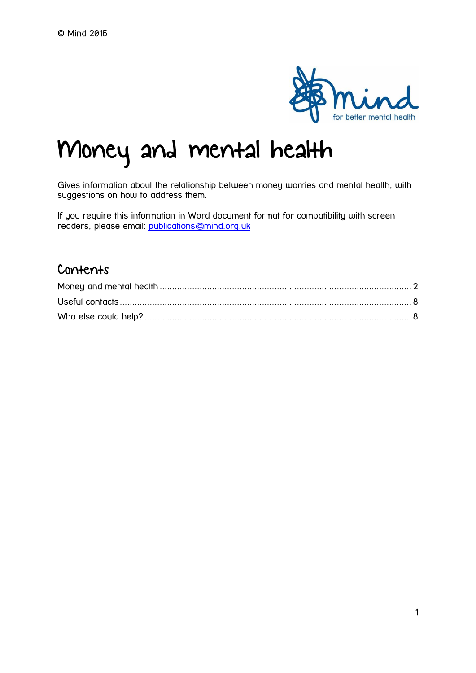

# Money and mental health

Gives information about the relationship between money worries and mental health, with suggestions on how to address them.

If you require this information in Word document format for compatibility with screen readers, please email: [publications@mind.org.uk](mailto:publications@mind.org.uk)

# Contents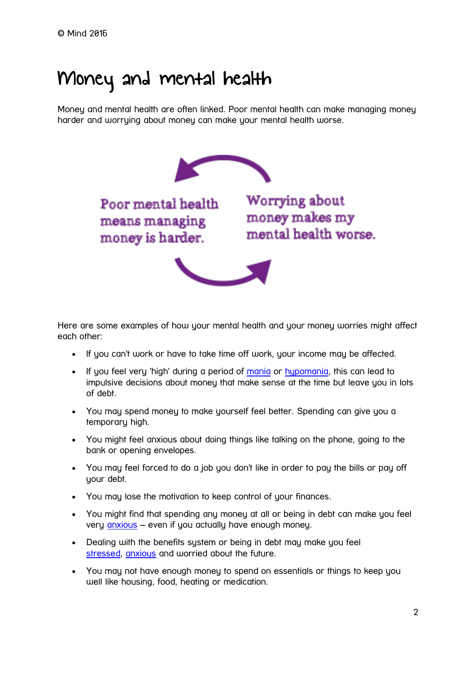# <span id="page-1-0"></span>Money and mental health

Money and mental health are often linked. Poor mental health can make managing money harder and worrying about money can make your mental health worse.



Poor mental health means managing money is harder.

Worrying about money makes my mental health worse.



Here are some examples of how your mental health and your money worries might affect each other:

- If you can't work or have to take time off work, your income may be affected.
- If you feel very 'high' during a period of [mania](https://www.mind.org.uk/information-support/types-of-mental-health-problems/hypomania-and-mania/) or [hypomania,](https://www.mind.org.uk/information-support/types-of-mental-health-problems/hypomania-and-mania/) this can lead to impulsive decisions about money that make sense at the time but leave you in lots of debt.
- You may spend money to make yourself feel better. Spending can give you a temporary high.
- You might feel anxious about doing things like talking on the phone, going to the bank or opening envelopes.
- You may feel forced to do a job you don't like in order to pay the bills or pay off your debt.
- You may lose the motivation to keep control of your finances.
- You might find that spending any money at all or being in debt can make you feel very [anxious](https://www.mind.org.uk/information-support/types-of-mental-health-problems/anxiety-and-panic-attacks/) – even if you actually have enough money.
- Dealing with the benefits sustem or being in debt may make you feel [stressed,](https://www.mind.org.uk/information-support/types-of-mental-health-problems/stress/) [anxious](https://www.mind.org.uk/information-support/types-of-mental-health-problems/anxiety-and-panic-attacks/) and worried about the future.
- You may not have enough money to spend on essentials or things to keep you well like housing, food, heating or medication.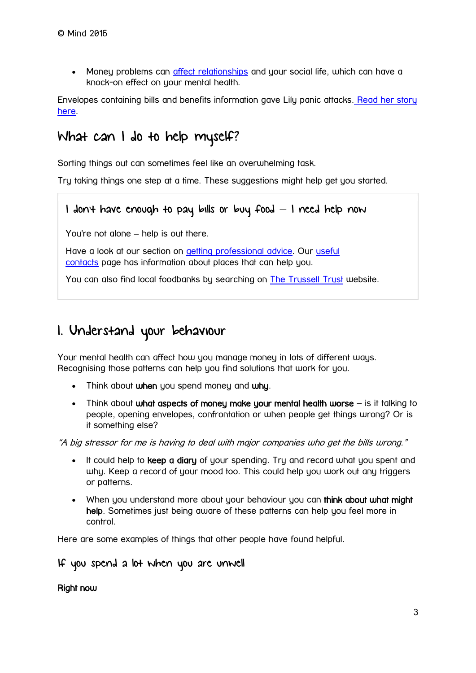Money problems can [affect relationships](https://www.mind.org.uk/information-support/tips-for-everyday-living/money-and-mental-health/money-and-mental-health/?o=6851#relationships) and your social life, which can have a knock-on effect on your mental health.

Envelopes containing bills and benefits information gave Lily panic attacks. Read her story [here.](https://www.mind.org.uk/information-support/your-stories/a-breakdown-benefits-debt-and-brown-envelopes/)

# What can I do to help myself?

Sorting things out can sometimes feel like an overwhelming task.

Try taking things one step at a time. These suggestions might help get you started.

#### I don't have enough to pay bills or buy food – I need help now

You're not alone – help is out there.

Have a look at our section on [getting professional advice.](https://www.mind.org.uk/information-support/tips-for-everyday-living/money-and-mental-health/money-and-mental-health/?o=6851#pro) Our [useful](https://www.mind.org.uk/information-support/tips-for-everyday-living/money-and-mental-health/money-and-mental-health/?o=6851)  [contacts](https://www.mind.org.uk/information-support/tips-for-everyday-living/money-and-mental-health/money-and-mental-health/?o=6851) page has information about places that can help you.

You can also find local foodbanks by searching on **[The Trussell Trust](https://www.trusselltrust.org/get-help/find-a-foodbank/?gclid=CJn04pXu5s8CFdW4GwodSYwBiA)** website.

# 1. Understand your behaviour

Your mental health can affect how you manage money in lots of different ways. Recognising those patterns can help you find solutions that work for you.

- Think about when you spend money and why.
- Think about what aspects of money make your mental health worse is it talking to people, opening envelopes, confrontation or when people get things wrong? Or is it something else?

"A big stressor for me is having to deal with major companies who get the bills wrong."

- It could help to keep a diary of your spending. Try and record what you spent and why. Keep a record of your mood too. This could help you work out any triggers or patterns.
- When you understand more about your behaviour you can think about what might help. Sometimes just being aware of these patterns can help you feel more in control.

Here are some examples of things that other people have found helpful.

If you spend a lot when you are unwell

#### Right now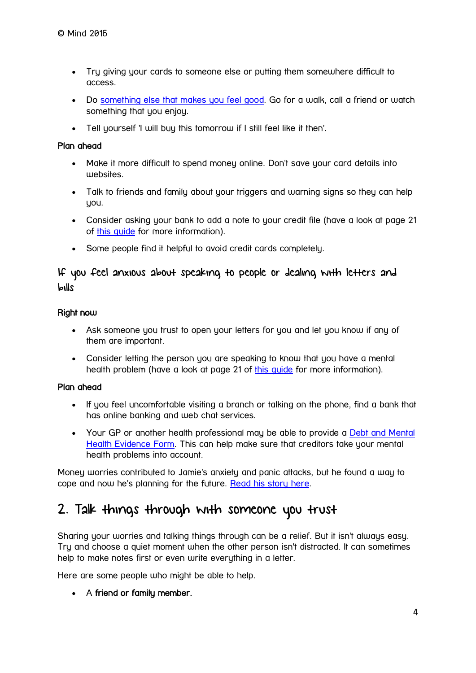- Try giving your cards to someone else or putting them somewhere difficult to access.
- Do [something else that makes you feel good.](https://www.mind.org.uk/38566.aspx#time) Go for a walk, call a friend or watch something that you enjoy.
- Tell yourself 'I will buy this tomorrow if I still feel like it then'.

#### Plan ahead

- Make it more difficult to spend money online. Don't save your card details into websites.
- Talk to friends and family about your triggers and warning signs so they can help you.
- Consider asking your bank to add a note to your credit file (have a look at page 21 of [this guide](http://www.moneysavingexpert.com/images/attachment/mentalhealthguide.pdf) for more information).
- Some people find it helpful to avoid credit cards completely.

#### If you feel anxious about speaking to people or dealing with letters and bills

#### Right now

- Ask someone you trust to open your letters for you and let you know if any of them are important.
- Consider letting the person you are speaking to know that you have a mental health problem (have a look at page 21 of this quide for more information).

#### Plan ahead

- If you feel uncomfortable visiting a branch or talking on the phone, find a bank that has online banking and web chat services.
- Your GP or another health professional may be able to provide a Debt and Mental [Health Evidence Form.](http://malg.org.uk/useful-info/mental-health-and-debt-guidelines/) This can help make sure that creditors take your mental health problems into account.

Money worries contributed to Jamie's anxiety and panic attacks, but he found a way to cope and now he's planning for the future. [Read his story here.](https://www.mind.org.uk/information-support/your-stories/money-and-mental-health-a-year-of-living-dangerously-close-to-the-edge/)

# 2. Talk things through with someone you trust

Sharing your worries and talking things through can be a relief. But it isn't always easy. Try and choose a quiet moment when the other person isn't distracted. It can sometimes help to make notes first or even write everything in a letter.

Here are some people who might be able to help.

• A friend or family member.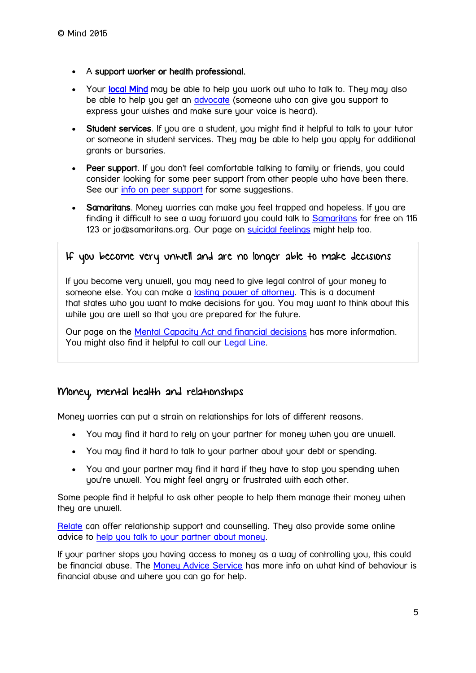- A support worker or health professional.
- Your [local Mind](https://www.mind.org.uk/information-support/local-minds/) may be able to help you work out who to talk to. They may also be able to help you get an *[advocate](https://www.mind.org.uk/information-support/guides-to-support-and-services/advocacy/#.V-J1w4grLcs)* (someone who can give you support to express your wishes and make sure your voice is heard).
- Student services. If you are a student, you might find it helpful to talk to your tutor or someone in student services. They may be able to help you apply for additional grants or bursaries.
- Peer support. If you don't feel comfortable talking to family or friends, you could consider looking for some peer support from other people who have been there. See our [info on peer support](https://www.mind.org.uk/information-support/guides-to-support-and-services/peer-support/about-peer-support/?o=10153#.WR7FeesrLIU) for some suggestions.
- Samaritans. Money worries can make you feel trapped and hopeless. If you are finding it difficult to see a way forward you could talk to [Samaritans](http://www.samaritans.org/how-we-can-help-you/contact-us) for free on 116 123 or jo@samaritans.org. Our page on [suicidal feelings](https://www.mind.org.uk/umbraco/umbraco.aspx#content) might help too.

#### If you become very unwell and are no longer able to make decisions

If you become very unwell, you may need to give legal control of your money to someone else. You can make a *lasting power of attorney*. This is a document that states who you want to make decisions for you. You may want to think about this while you are well so that you are prepared for the future.

Our page on the [Mental Capacity Act and financial decisions](https://www.mind.org.uk/information-support/legal-rights/mental-capacity-act-2005/financial-decisions/#.V-KfD4grLct) has more information. You might also find it helpful to call our [Legal Line.](https://www.mind.org.uk/information-support/helplines/)

#### Money, mental health and relationships

Money worries can put a strain on relationships for lots of different reasons.

- You may find it hard to rely on your partner for money when you are unwell.
- You may find it hard to talk to your partner about your debt or spending.
- You and your partner may find it hard if they have to stop you spending when you're unwell. You might feel angry or frustrated with each other.

Some people find it helpful to ask other people to help them manage their money when they are unwell.

[Relate](https://www.relate.org.uk/) can offer relationship support and counselling. They also provide some online advice to [help you talk to your partner about money.](https://www.relate.org.uk/relationship-help/help-relationships/money-and-work/im-finding-it-hard-talk-my-partner-about-money)

If your partner stops you having access to money as a way of controlling you, this could be financial abuse. The [Money Advice Service](https://www.moneyadviceservice.org.uk/en/articles/protecting-against-financial-abuse) has more info on what kind of behaviour is financial abuse and where you can go for help.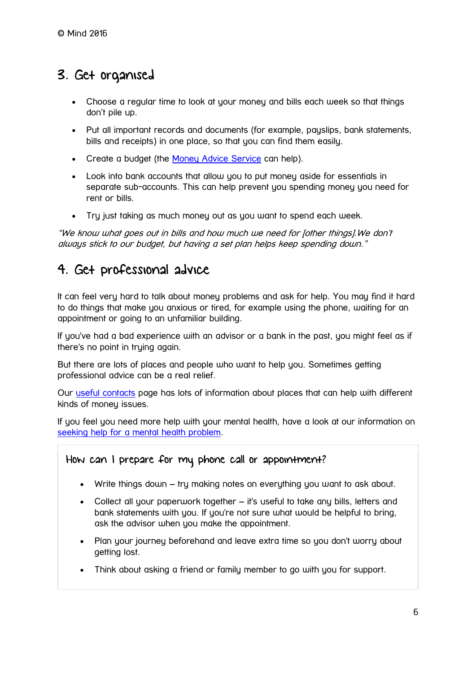# 3. Get organised

- Choose a regular time to look at your money and bills each week so that things don't pile up.
- Put all important records and documents (for example, payslips, bank statements, bills and receipts) in one place, so that you can find them easily.
- Create a budget (the [Money Advice Service](https://www.moneyadviceservice.org.uk/en/categories/budgeting-and-managing-money) can help).
- Look into bank accounts that allow you to put money aside for essentials in separate sub-accounts. This can help prevent you spending money you need for rent or bills.
- Try just taking as much money out as you want to spend each week.

"We know what goes out in bills and how much we need for [other things].We don't always stick to our budget, but having a set plan helps keep spending down."

# 4. Get professional advice

It can feel very hard to talk about money problems and ask for help. You may find it hard to do things that make you anxious or tired, for example using the phone, waiting for an appointment or going to an unfamiliar building.

If you've had a bad experience with an advisor or a bank in the past, you might feel as if there's no point in truing again.

But there are lots of places and people who want to help you. Sometimes getting professional advice can be a real relief.

Our [useful contacts](https://www.mind.org.uk/information-support/tips-for-everyday-living/money-and-mental-health/useful-contacts/) page has lots of information about places that can help with different kinds of money issues.

If you feel you need more help with your mental health, have a look at our information on [seeking help for a mental health problem.](https://www.mind.org.uk/information-support/guides-to-support-and-services/seeking-help-for-a-mental-health-problem/#.V-I_bYgrLcs)

# How can I prepare for my phone call or appointment?

- Write things down try making notes on everything you want to ask about.
- Collect all your paperwork together it's useful to take any bills, letters and bank statements with you. If you're not sure what would be helpful to bring, ask the advisor when you make the appointment.
- Plan your journey beforehand and leave extra time so you don't worry about aetting lost.
- Think about asking a friend or family member to go with you for support.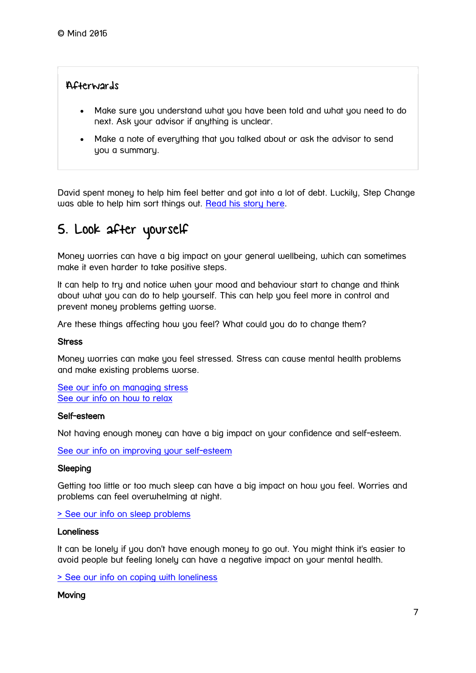#### Afterwards

- Make sure you understand what you have been told and what you need to do next. Ask your advisor if anything is unclear.
- Make a note of everything that you talked about or ask the advisor to send you a summary.

David spent money to help him feel better and got into a lot of debt. Luckily, Step Change was able to help him sort things out. [Read his story here.](https://www.mind.org.uk/information-support/your-stories/spending-money-to-make-me-feel-better-got-me-into-debt-step-change-helped-me-out/)

# 5. Look after yourself

Money worries can have a big impact on your general wellbeing, which can sometimes make it even harder to take positive steps.

It can help to try and notice when your mood and behaviour start to change and think about what you can do to help yourself. This can help you feel more in control and prevent money problems getting worse.

Are these things affecting how you feel? What could you do to change them?

#### **Stress**

Money worries can make you feel stressed. Stress can cause mental health problems and make existing problems worse.

[See our info on managing stress](https://www.mind.org.uk/information-support/tips-for-everyday-living/stress/) [See our info on how to relax](https://www.mind.org.uk/information-support/tips-for-everyday-living/relaxation/)

#### Self-esteem

Not having enough money can have a big impact on your confidence and self-esteem.

[See our info on improving your self-esteem](https://www.mind.org.uk/information-support/types-of-mental-health-problems/self-esteem/)

#### **Sleeping**

Getting too little or too much sleep can have a big impact on how you feel. Worries and problems can feel overwhelming at night.

[> See our info on sleep problems](https://www.mind.org.uk/information-support/types-of-mental-health-problems/sleep-problems/)

#### Loneliness

It can be lonely if you don't have enough money to go out. You might think it's easier to avoid people but feeling lonely can have a negative impact on your mental health.

[> See our info on coping with loneliness](https://www.mind.org.uk/information-support/tips-for-everyday-living/loneliness/)

#### **Moving**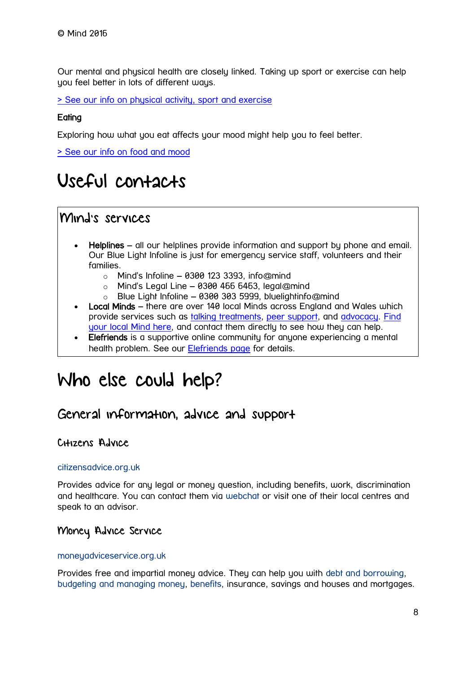Our mental and physical health are closely linked. Taking up sport or exercise can help you feel better in lots of different ways.

[> See our info on physical activity, sport and exercise](https://www.mind.org.uk/information-support/tips-for-everyday-living/physical-activity-and-your-mental-health/)

#### **Eating**

Exploring how what you eat affects your mood might help you to feel better.

[> See our info on food and mood](https://www.mind.org.uk/information-support/tips-for-everyday-living/food-and-mood/)

# <span id="page-7-0"></span>Useful contacts

# Mind's services

- Helplines all our helplines provide information and support by phone and email. Our Blue Light Infoline is just for emergency service staff, volunteers and their families.
	- $\circ$  Mind's Infoline 0300 123 3393, info@mind
	- $\circ$  Mind's Legal Line 0300 466 6463, legal@mind
	- o Blue Light Infoline 0300 303 5999, bluelightinfo@mind
- Local Minds there are over 140 local Minds across England and Wales which provide services such as [talking treatments,](https://www.mind.org.uk/information-support/drugs-and-treatments/talking-treatments/) [peer support,](https://www.mind.org.uk/information-support/drugs-and-treatments/peer-support/) and [advocacy.](https://www.mind.org.uk/information-support/guides-to-support-and-services/advocacy/) [Find](https://www.mind.org.uk/information-support/local-minds/)  [your local Mind here,](https://www.mind.org.uk/information-support/local-minds/) and contact them directly to see how they can help.
- Elefriends is a supportive online community for anyone experiencing a mental health problem. See our [Elefriends page](https://www.mind.org.uk/elefriends/) for details.

# <span id="page-7-1"></span>Who else could help?

### General information, advice and support

#### Citizens Advice

#### [citizensadvice.org.uk](http://www.citizensadvice.org.uk/)

Provides advice for any legal or money question, including benefits, work, discrimination and healthcare. You can contact them via [webchat](https://www.citizensadvice.org.uk/about-us/contact-us/web-chat-service/) or visit one of their local centres and speak to an advisor.

#### Money Advice Service

#### moneuadviceservice.org.uk

Provides free and impartial money advice. They can help you with [debt and borrowing,](https://www.moneyadviceservice.org.uk/en/categories/debt-and-borrowing) [budgeting and managing money,](https://www.moneyadviceservice.org.uk/en/categories/budgeting-and-managing-money) [benefits,](https://www.moneyadviceservice.org.uk/en/categories/benefits) insurance, savings and houses and mortgages.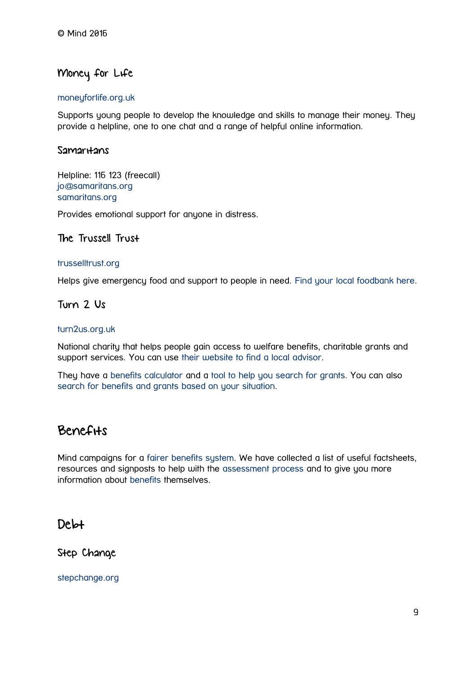### Money for Life

#### [moneyforlife.org.uk](http://www.moneyforlife.org.uk/)

Supports young people to develop the knowledge and skills to manage their money. They provide a helpline, one to one chat and a range of helpful online information.

#### Samaritans

Helpline: 116 123 (freecall) [jo@samaritans.org](mailto:jo@samaritans.org) [samaritans.org](http://www.samaritans.org/)

Provides emotional support for anyone in distress.

#### The Trussell Trust

#### [trusselltrust.org](http://www.trusselltrust.org/)

Helps give emergency food and support to people in need. [Find your local foodbank here.](https://www.trusselltrust.org/get-help/find-a-foodbank/)

#### Turn 2 Us

#### [turn2us.org.uk](https://www.turn2us.org.uk/?_ga=1.101712705.1780267147.1473255446)

National charity that helps people gain access to welfare benefits, charitable grants and support services. You can use [their website to find a local advisor.](http://advicefinder.turn2us.org.uk/)

They have a [benefits calculator](http://benefits-calculator.turn2us.org.uk/AboutYou) and a [tool to help you search for grants.](https://grants-search.turn2us.org.uk/?_ga=1.26013309.1780267147.1473255446) You can also [search for benefits and grants based on your situation.](https://www.turn2us.org.uk/Your-Situation)

# Benefits

Mind campaigns for a [fairer benefits system.](https://www.mind.org.uk/about-us/our-policy-work/benefits/) We have collected a list of useful factsheets, resources and signposts to help with the [assessment process](https://www.mind.org.uk/about-us/our-policy-work/benefits/where-you-can-find-help/) and to give you more information about [benefits](https://www.mind.org.uk/about-us/our-policy-work/benefits/where-you-can-find-help/) themselves.

# Debt

Step Change

[stepchange.org](http://www.stepchange.org/)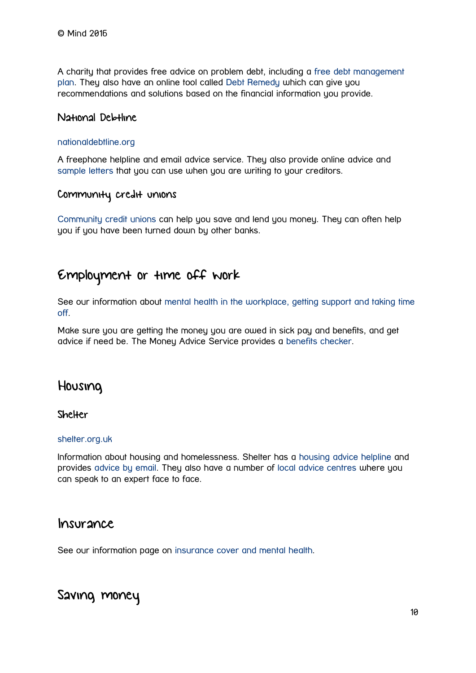A charity that provides free advice on problem debt, including a [free debt management](https://www.stepchange.org/Howwecanhelpyou/DMPDebtmanagementplan.aspx)  [plan.](https://www.stepchange.org/Howwecanhelpyou/DMPDebtmanagementplan.aspx) They also have an online tool called [Debt Remedy](https://www.stepchange.org/Debtremedy.aspx) which can give you recommendations and solutions based on the financial information you provide.

#### National Debtline

#### [nationaldebtline.org](https://www.nationaldebtline.org/)

A freephone helpline and email advice service. They also provide online advice and [sample letters](https://www.nationaldebtline.org/EW/sampleletters/Pages/default.aspx) that you can use when you are writing to your creditors.

#### Community credit unions

[Community credit unions](http://www.moneysavingexpert.com/banking/credit-unions) can help you save and lend you money. They can often help you if you have been turned down by other banks.

# Employment or time off work

See our information about [mental health in the workplace, getting support and taking time](https://www.mind.org.uk/information-support/tips-for-everyday-living/work/getting-support/?o=6855#.V-KeFIgrLcs)  [off.](https://www.mind.org.uk/information-support/tips-for-everyday-living/work/getting-support/?o=6855#.V-KeFIgrLcs)

Make sure you are getting the money you are owed in sick pay and benefits, and get advice if need be. The Money Advice Service provides a [benefits checker.](https://www.moneyadviceservice.org.uk/en/categories/benefits)

# Housing

#### **Shelter**

#### [shelter.org.uk](http://www.shelter.org.uk/)

Information about housing and homelessness. Shelter has a [housing advice helpline](http://england.shelter.org.uk/get_advice/how_we_can_help/housing_advice_helpline) and provides [advice by email.](http://england.shelter.org.uk/get_advice/how_we_can_help/advice_by_email) They also have a number of [local advice centres](http://england.shelter.org.uk/get_advice/how_we_can_help/shelter_advice_centres) where you can speak to an expert face to face.

#### Insurance

See our information page on [insurance cover and mental health.](https://www.mind.org.uk/information-support/guides-to-support-and-services/insurance-cover-and-mental-health/#.V-PVAqIrLFY)

# Saving money